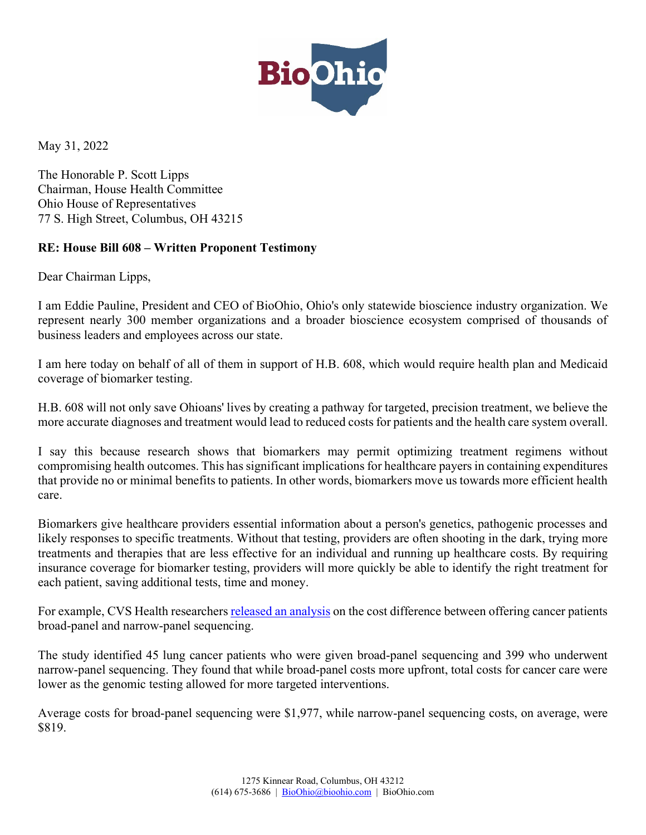

May 31, 2022

The Honorable P. Scott Lipps Chairman, House Health Committee Ohio House of Representatives 77 S. High Street, Columbus, OH 43215

## **RE: House Bill 608 – Written Proponent Testimony**

Dear Chairman Lipps,

I am Eddie Pauline, President and CEO of BioOhio, Ohio's only statewide bioscience industry organization. We represent nearly 300 member organizations and a broader bioscience ecosystem comprised of thousands of business leaders and employees across our state.

I am here today on behalf of all of them in support of H.B. 608, which would require health plan and Medicaid coverage of biomarker testing.

H.B. 608 will not only save Ohioans' lives by creating a pathway for targeted, precision treatment, we believe the more accurate diagnoses and treatment would lead to reduced costs for patients and the health care system overall.

I say this because research shows that biomarkers may permit optimizing treatment regimens without compromising health outcomes. This has significant implications for healthcare payers in containing expenditures that provide no or minimal benefits to patients. In other words, biomarkers move us towards more efficient health care.

Biomarkers give healthcare providers essential information about a person's genetics, pathogenic processes and likely responses to specific treatments. Without that testing, providers are often shooting in the dark, trying more treatments and therapies that are less effective for an individual and running up healthcare costs. By requiring insurance coverage for biomarker testing, providers will more quickly be able to identify the right treatment for each patient, saving additional tests, time and money.

For example, CVS Health researcher[s released an analysis](https://meetinglibrary.asco.org/record/190309/abstract) on the cost difference between offering cancer patients broad-panel and narrow-panel sequencing.

The study identified 45 lung cancer patients who were given broad-panel sequencing and 399 who underwent narrow-panel sequencing. They found that while broad-panel costs more upfront, total costs for cancer care were lower as the genomic testing allowed for more targeted interventions.

Average costs for broad-panel sequencing were \$1,977, while narrow-panel sequencing costs, on average, were \$819.